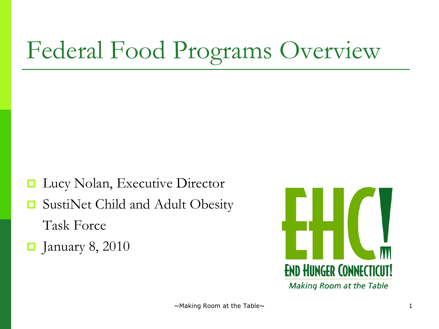# Federal Food Programs Overview

- Lucy Nolan, Executive Director
- **□** SustiNet Child and Adult Obesity Task Force
- $\blacksquare$  January 8, 2010

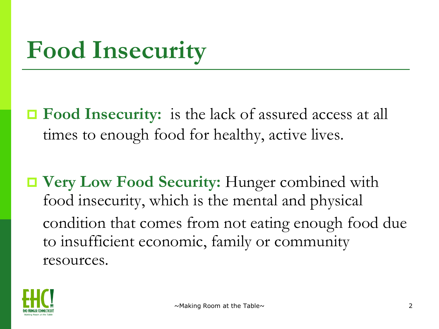## **Food Insecurity**

- **□ Food Insecurity:** is the lack of assured access at all times to enough food for healthy, active lives.
- **Very Low Food Security:** Hunger combined with food insecurity, which is the mental and physical condition that comes from not eating enough food due to insufficient economic, family or community resources.

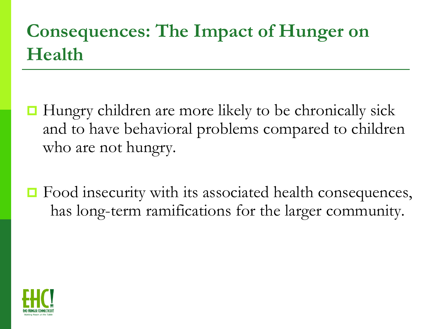#### **Consequences: The Impact of Hunger on Health**

- $\Box$  Hungry children are more likely to be chronically sick and to have behavioral problems compared to children who are not hungry.
- **□** Food insecurity with its associated health consequences, has long-term ramifications for the larger community.

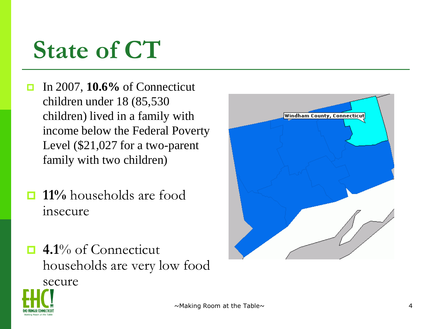### **State of CT**

- In 2007, **10.6%** of Connecticut children under 18 (85,530 children) lived in a family with income below the Federal Poverty Level (\$21,027 for a two-parent family with two children)
- **11%** households are food insecure
- **4.1**% of Connecticut households are very low food secure



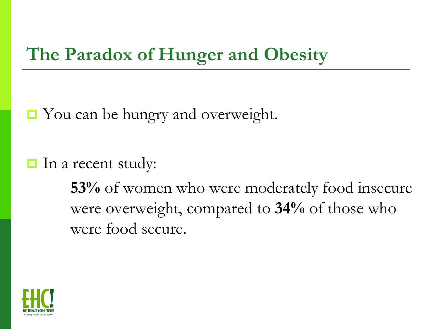#### **The Paradox of Hunger and Obesity**

- You can be hungry and overweight.
- $\Box$  In a recent study:

**53%** of women who were moderately food insecure were overweight, compared to **34%** of those who were food secure.

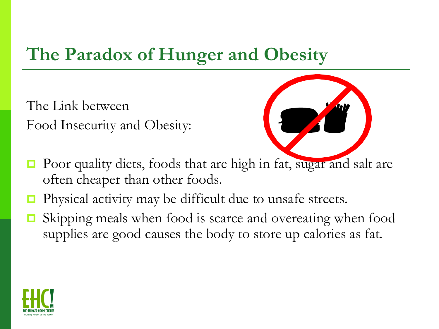#### **The Paradox of Hunger and Obesity**

The Link between Food Insecurity and Obesity:



- Poor quality diets, foods that are high in fat, sugar and salt are often cheaper than other foods.
- Physical activity may be difficult due to unsafe streets.
- Skipping meals when food is scarce and overeating when food supplies are good causes the body to store up calories as fat.

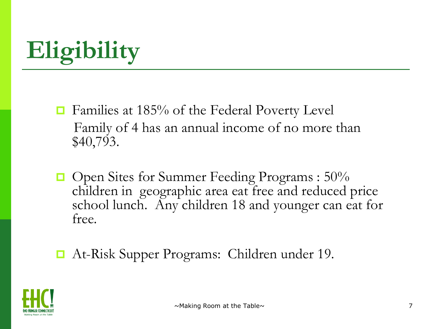# **Eligibility**

- **□** Families at 185% of the Federal Poverty Level Family of 4 has an annual income of no more than \$40,793.
- $\Box$  Open Sites for Summer Feeding Programs : 50% children in geographic area eat free and reduced price school lunch. Any children 18 and younger can eat for free.
- At-Risk Supper Programs: Children under 19.

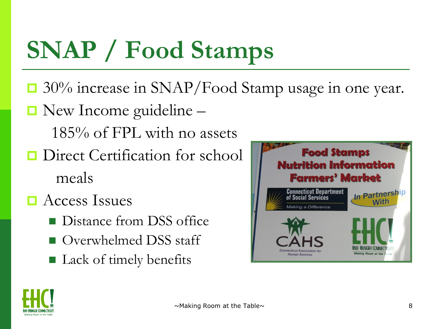# **SNAP / Food Stamps**

- □ 30% increase in SNAP/Food Stamp usage in one year.
- New Income guideline -

185% of FPL with no assets

- **Direct Certification for school** meals
- **E** Access Issues
	- **Distance from DSS office**
	- Overwhelmed DSS staff
	- Lack of timely benefits



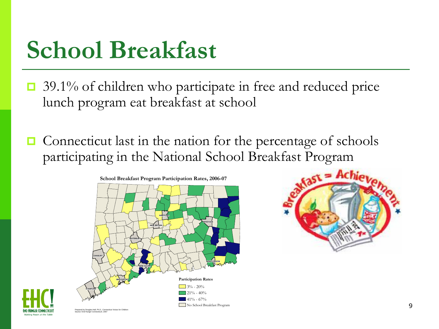### **School Breakfast**

- $\Box$  39.1% of children who participate in free and reduced price lunch program eat breakfast at school
- $\Box$  Connecticut last in the nation for the percentage of schools participating in the National School Breakfast Program





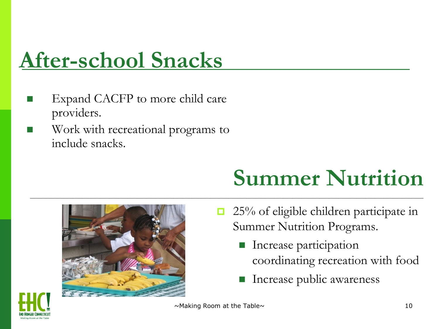### **After-school Snacks**

- Expand CACFP to more child care providers.
- Work with recreational programs to include snacks.

### **Summer Nutrition**



- $\Box$  25% of eligible children participate in Summer Nutrition Programs.
	- Increase participation coordinating recreation with food
	- Increase public awareness



 $\sim$ Making Room at the Table $\sim$  10

\_\_\_\_\_\_\_\_\_\_\_\_\_\_\_\_\_\_\_\_\_\_\_\_\_\_\_\_\_\_\_\_\_\_\_\_\_\_\_\_\_\_\_\_\_\_\_\_\_\_\_\_\_\_\_\_\_\_\_\_\_\_\_\_\_\_\_\_\_\_\_\_\_\_\_\_\_\_\_\_\_\_\_\_\_\_\_\_\_\_\_\_\_\_\_\_\_\_\_\_\_\_\_\_\_\_\_\_\_\_\_\_\_\_\_\_\_\_\_\_\_\_\_\_\_\_\_\_\_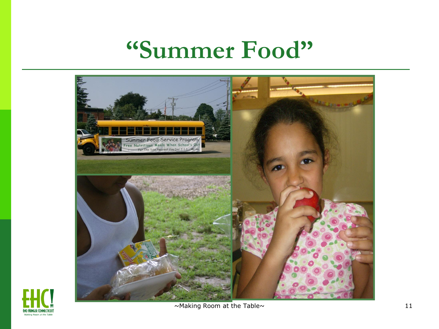#### **"Summer Food"**





 $\sim$ Making Room at the Table $\sim$  11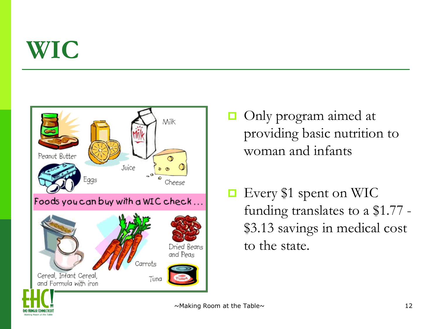### **WIC**



- **Only program aimed at** providing basic nutrition to woman and infants
- **□** Every \$1 spent on WIC funding translates to a \$1.77 - \$3.13 savings in medical cost to the state.



 $\sim$ Making Room at the Table $\sim$  12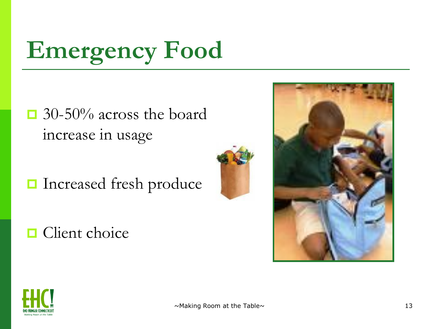# **Emergency Food**

- **□** 30-50% across the board increase in usage
- Increased fresh produce







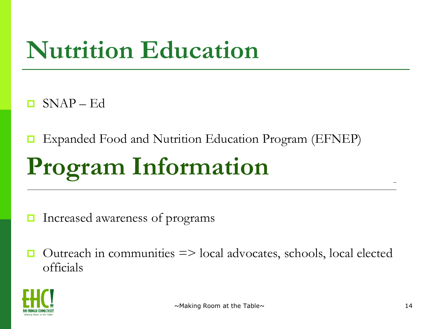### **Nutrition Education**

 $SNAP - Ed$ 

Expanded Food and Nutrition Education Program (EFNEP)

## **Program Information**

Increased awareness of programs

 Outreach in communities => local advocates, schools, local elected officials

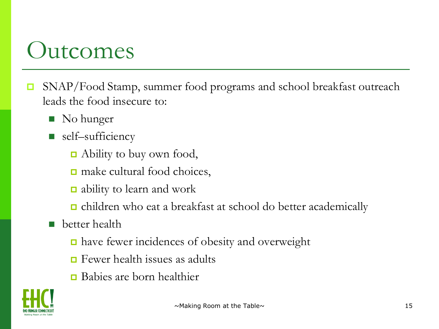#### **Outcomes**

- **□** SNAP/Food Stamp, summer food programs and school breakfast outreach leads the food insecure to:
	- No hunger
	- self–sufficiency
		- Ability to buy own food,
		- **□** make cultural food choices,
		- ability to learn and work
		- children who eat a breakfast at school do better academically
	- **better** health
		- **□** have fewer incidences of obesity and overweight
		- $\Box$  Fewer health issues as adults
		- Babies are born healthier